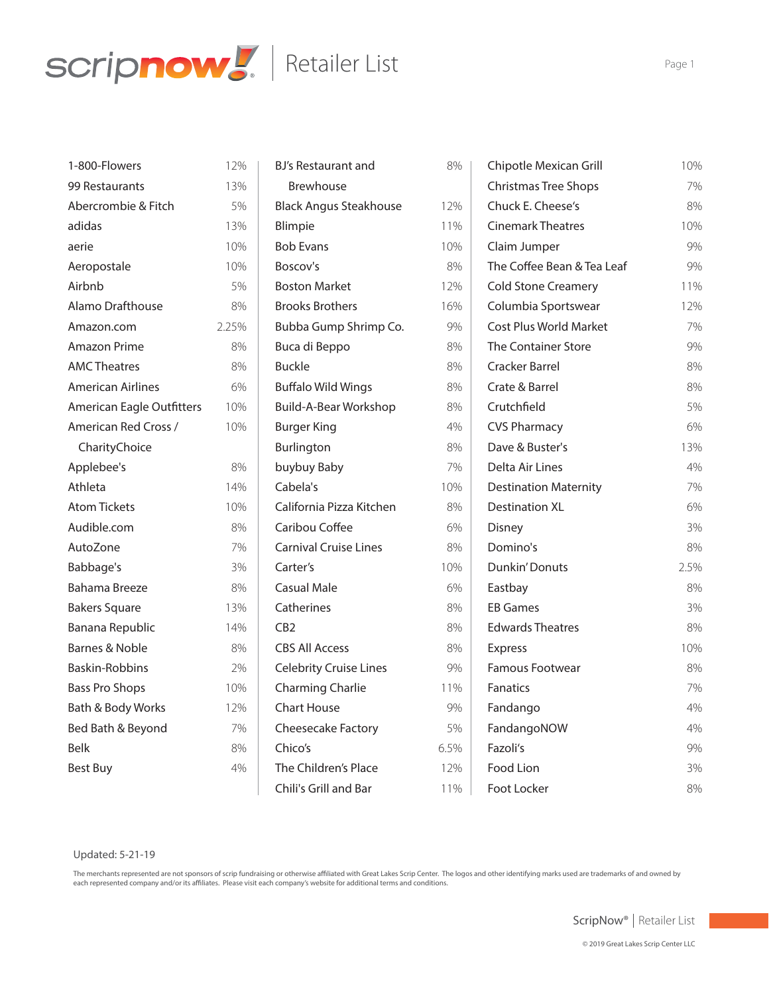

| 1-800-Flowers                    | 12%   |
|----------------------------------|-------|
| 99 Restaurants                   | 13%   |
| Abercrombie & Fitch              | 5%    |
| adidas                           | 13%   |
| aerie                            | 10%   |
| Aeropostale                      | 10%   |
| Airbnb                           | 5%    |
| Alamo Drafthouse                 | 8%    |
| Amazon.com                       | 2.25% |
| <b>Amazon Prime</b>              | 8%    |
| <b>AMC Theatres</b>              | 8%    |
| <b>American Airlines</b>         | 6%    |
| <b>American Eagle Outfitters</b> | 10%   |
| American Red Cross /             | 10%   |
| CharityChoice                    |       |
| Applebee's                       | 8%    |
| Athleta                          | 14%   |
| <b>Atom Tickets</b>              | 10%   |
| Audible.com                      | 8%    |
| AutoZone                         | 7%    |
| Babbage's                        | 3%    |
| Bahama Breeze                    | 8%    |
| <b>Bakers Square</b>             | 13%   |
| Banana Republic                  | 14%   |
| Barnes & Noble                   | 8%    |
| Baskin-Robbins                   | 2%    |
| <b>Bass Pro Shops</b>            | 10%   |
| Bath & Body Works                | 12%   |
| Bed Bath & Beyond                | 7%    |
| <b>Belk</b>                      | 8%    |
| <b>Best Buy</b>                  | 4%    |
|                                  |       |

| BJ's Restaurant and           | 8%   |
|-------------------------------|------|
| Brewhouse                     |      |
| <b>Black Angus Steakhouse</b> | 12%  |
| Blimpie                       | 11%  |
| <b>Bob Evans</b>              | 10%  |
| Boscov's                      | 8%   |
| <b>Boston Market</b>          | 12%  |
| <b>Brooks Brothers</b>        | 16%  |
| Bubba Gump Shrimp Co.         | 9%   |
| Buca di Beppo                 | 8%   |
| Buckle                        | 8%   |
| <b>Buffalo Wild Wings</b>     | 8%   |
| <b>Build-A-Bear Workshop</b>  | 8%   |
| <b>Burger King</b>            | 4%   |
| Burlington                    | 8%   |
| buybuy Baby                   | 7%   |
| Cabela's                      | 10%  |
| California Pizza Kitchen      | 8%   |
| Caribou Coffee                | 6%   |
| <b>Carnival Cruise Lines</b>  | 8%   |
| Carter's                      | 10%  |
| Casual Male                   | 6%   |
| Catherines                    | 8%   |
| CB2                           | 8%   |
| <b>CBS All Access</b>         | 8%   |
| <b>Celebrity Cruise Lines</b> | 9%   |
| <b>Charming Charlie</b>       | 11%  |
| Chart House                   | 9%   |
| <b>Cheesecake Factory</b>     | 5%   |
| Chico's                       | 6.5% |
| The Children's Place          | 12%  |
| Chili's Grill and Bar         | 11%  |
|                               |      |

| Chipotle Mexican Grill        | 10%  |
|-------------------------------|------|
| <b>Christmas Tree Shops</b>   | 7%   |
| Chuck E. Cheese's             | 8%   |
| <b>Cinemark Theatres</b>      | 10%  |
| Claim Jumper                  | 9%   |
| The Coffee Bean & Tea Leaf    | 9%   |
| <b>Cold Stone Creamery</b>    | 11%  |
| Columbia Sportswear           | 12%  |
| <b>Cost Plus World Market</b> | 7%   |
| The Container Store           | 9%   |
| Cracker Barrel                | 8%   |
| Crate & Barrel                | 8%   |
| Crutchfield                   | 5%   |
| <b>CVS Pharmacy</b>           | 6%   |
| Dave & Buster's               | 13%  |
| Delta Air Lines               | 4%   |
| <b>Destination Maternity</b>  | 7%   |
| <b>Destination XL</b>         | 6%   |
| Disney                        | 3%   |
| Domino's                      | 8%   |
| <b>Dunkin' Donuts</b>         | 2.5% |
| Eastbay                       | 8%   |
| <b>EB Games</b>               | 3%   |
| <b>Edwards Theatres</b>       | 8%   |
| <b>Express</b>                | 10%  |
| <b>Famous Footwear</b>        | 8%   |
| <b>Fanatics</b>               | 7%   |
| Fandango                      | 4%   |
| FandangoNOW                   | 4%   |
| Fazoli's                      | 9%   |
| Food Lion                     | 3%   |
| Foot Locker                   | 8%   |
|                               |      |

## Updated: 5-21-19

The merchants represented are not sponsors of scrip fundraising or otherwise affiliated with Great Lakes Scrip Center. The logos and other identifying marks used are trademarks of and owned by each represented company and/or its affiliates. Please visit each company's website for additional terms and conditions.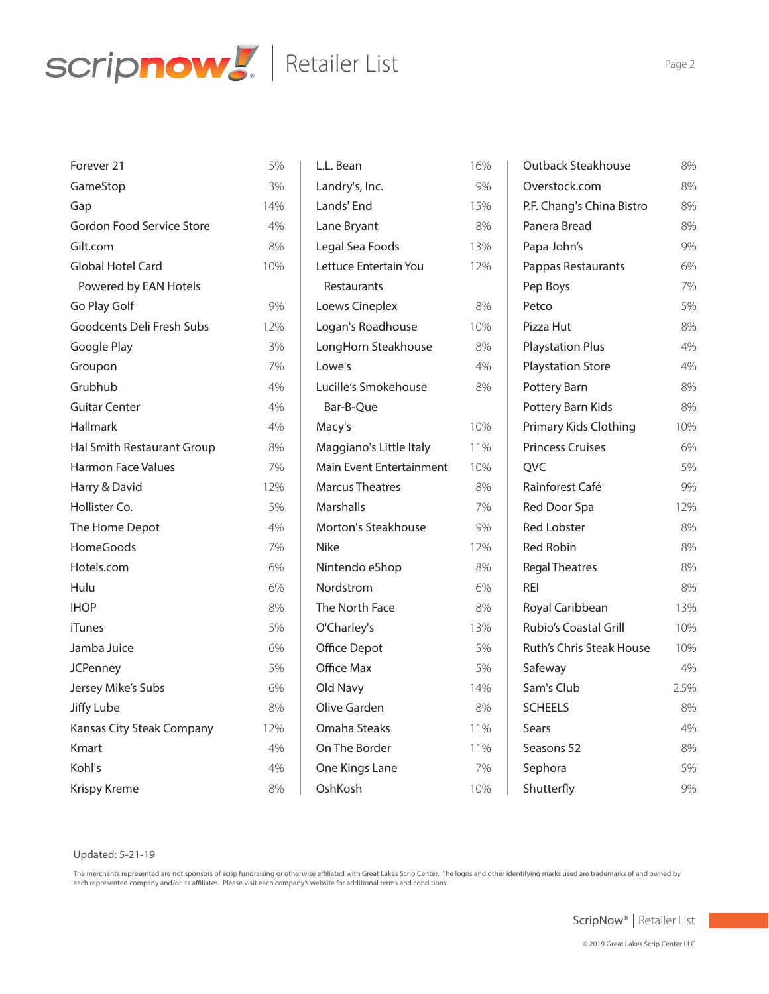

| Forever 21                 | 5%  |  |
|----------------------------|-----|--|
| GameStop                   | 3%  |  |
| Gap                        | 14% |  |
| Gordon Food Service Store  | 4%  |  |
| Gilt.com                   | 8%  |  |
| Global Hotel Card          | 10% |  |
| Powered by EAN Hotels      |     |  |
| Go Play Golf               | 9%  |  |
| Goodcents Deli Fresh Subs  | 12% |  |
| Google Play                | 3%  |  |
| Groupon                    | 7%  |  |
| Grubhub                    | 4%  |  |
| <b>Guitar Center</b>       | 4%  |  |
| Hallmark                   | 4%  |  |
| Hal Smith Restaurant Group | 8%  |  |
| <b>Harmon Face Values</b>  | 7%  |  |
| Harry & David              | 12% |  |
| Hollister Co.              | 5%  |  |
| The Home Depot             | 4%  |  |
| <b>HomeGoods</b>           | 7%  |  |
| Hotels.com                 | 6%  |  |
| Hulu                       | 6%  |  |
| <b>IHOP</b>                | 8%  |  |
| iTunes                     | 5%  |  |
| Jamba Juice                | 6%  |  |
| <b>JCPenney</b>            | 5%  |  |
| Jersey Mike's Subs         | 6%  |  |
| Jiffy Lube                 | 8%  |  |
| Kansas City Steak Company  | 12% |  |
| Kmart                      | 4%  |  |
| Kohl's                     | 4%  |  |
| <b>Krispy Kreme</b>        | 8%  |  |

| L.L. Bean                | 16% |
|--------------------------|-----|
| Landry's, Inc.           | 9%  |
| Lands' End               | 15% |
| Lane Bryant              | 8%  |
| Legal Sea Foods          | 13% |
| Lettuce Entertain You    | 12% |
| Restaurants              |     |
| Loews Cineplex           | 8%  |
| Logan's Roadhouse        | 10% |
| LongHorn Steakhouse      | 8%  |
| Lowe's                   | 4%  |
| Lucille's Smokehouse     | 8%  |
| Bar-B-Que                |     |
| Macy's                   | 10% |
| Maggiano's Little Italy  | 11% |
| Main Event Entertainment | 10% |
| <b>Marcus Theatres</b>   | 8%  |
| Marshalls                | 7%  |
| Morton's Steakhouse      | 9%  |
| Nike                     | 12% |
| Nintendo eShop           | 8%  |
| Nordstrom                | 6%  |
| The North Face           | 8%  |
| O'Charley's              | 13% |
| <b>Office Depot</b>      | 5%  |
| Office Max               | 5%  |
| Old Navy                 | 14% |
| Olive Garden             | 8%  |
| Omaha Steaks             | 11% |
| On The Border            | 11% |
| One Kings Lane           | 7%  |
| OshKosh                  | 10% |
|                          |     |

| <b>Outback Steakhouse</b> | 8%   |
|---------------------------|------|
| Overstock.com             | 8%   |
| P.F. Chang's China Bistro | 8%   |
| Panera Bread              | 8%   |
| Papa John's               | 9%   |
| Pappas Restaurants        | 6%   |
| Pep Boys                  | 7%   |
| Petco                     | 5%   |
| Pizza Hut                 | 8%   |
| <b>Playstation Plus</b>   | 4%   |
| <b>Playstation Store</b>  | 4%   |
| Pottery Barn              | 8%   |
| Pottery Barn Kids         | 8%   |
| Primary Kids Clothing     | 10%  |
| <b>Princess Cruises</b>   | 6%   |
| <b>QVC</b>                | 5%   |
| Rainforest Café           | 9%   |
| <b>Red Door Spa</b>       | 12%  |
| <b>Red Lobster</b>        | 8%   |
| <b>Red Robin</b>          | 8%   |
| <b>Regal Theatres</b>     | 8%   |
| RFI                       | 8%   |
| Royal Caribbean           | 13%  |
| Rubio's Coastal Grill     | 10%  |
| Ruth's Chris Steak House  | 10%  |
| Safeway                   | 4%   |
| Sam's Club                | 2.5% |
| <b>SCHEELS</b>            | 8%   |
| Sears                     | 4%   |
| Seasons 52                | 8%   |
| Sephora                   | 5%   |
| Shutterfly                | 9%   |

# Updated: 5-21-19

The merchants represented are not sponsors of scrip fundraising or otherwise affiliated with Great Lakes Scrip Center. The logos and other identifying marks used are trademarks of and owned by each represented company and/or its affiliates. Please visit each company's website for additional terms and conditions.